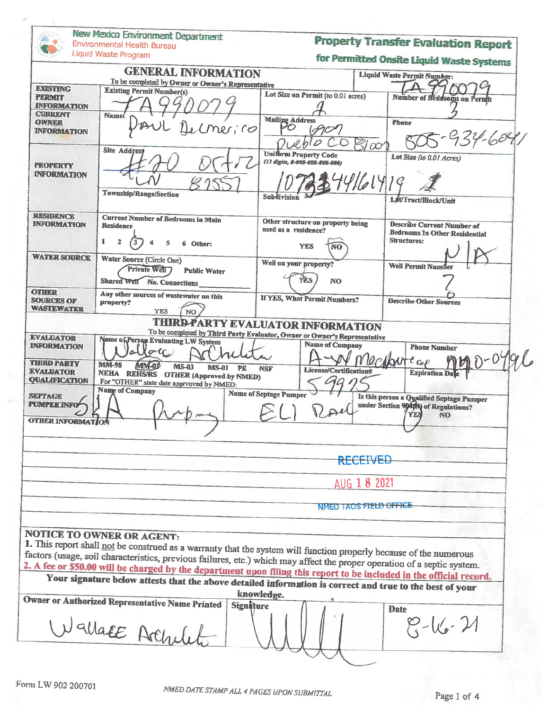|                                                        | New Mexico Environment Department<br>Environmental Health Bureau                                                                                                                                                                 |                                                                | <b>Property Transfer Evaluation Report</b>                                                      |  |
|--------------------------------------------------------|----------------------------------------------------------------------------------------------------------------------------------------------------------------------------------------------------------------------------------|----------------------------------------------------------------|-------------------------------------------------------------------------------------------------|--|
|                                                        | Liquid Waste Program                                                                                                                                                                                                             |                                                                | for Permitted Onsite Liquid Waste Systems                                                       |  |
|                                                        | <b>GENERAL INFORMATION</b><br>To be completed by Owner or Owner's Representative                                                                                                                                                 |                                                                | <b>Liquid Waste Permit Number:</b>                                                              |  |
| <b>EXISTING</b><br><b>TERMIT</b><br><b>INFORMATION</b> | <b>Existing Permit Number(s)</b>                                                                                                                                                                                                 | Lot Size on Permit (to 0.01 acres)                             | Number of Bedrooms on Peruit                                                                    |  |
| <b>CURRENT</b><br><b>OWNER</b><br><b>INFORMATION</b>   | Name<br>$\left  \cdot \right $                                                                                                                                                                                                   | <b>Mailipg Address</b><br>70                                   | Phone<br>$-934-609$                                                                             |  |
| <b>PROPERTY</b><br><b>INFORMATION</b>                  | Site Address                                                                                                                                                                                                                     | <b>Uniform Property Code</b><br>(13 digits, # ### ### ### ###) | Lot Size (to 0.01 Acres)                                                                        |  |
|                                                        | <b>Township/Range/Section</b>                                                                                                                                                                                                    |                                                                | 74461419<br>Let/Tract/Block/Unit                                                                |  |
| <b>RESIDENCE</b>                                       | <b>Current Number of Bedrooms in Main</b>                                                                                                                                                                                        | Other structure on property being                              |                                                                                                 |  |
| <b>INFORMATION</b>                                     | <b>Residence</b><br>$\mathbf{R}$<br>$\overline{2}$<br>5<br>6 Other:                                                                                                                                                              | used as a residence?<br><b>YES</b><br>NO                       | <b>Describe Current Number of</b><br><b>Bedrooms In Other Residential</b><br><b>Structures:</b> |  |
| <b>WATER SOURCE</b>                                    | Water Source (Circle One)<br>Private Well 7<br><b>Public Water</b>                                                                                                                                                               | Well on your property?<br>YES<br>NO.                           | <b>Well Permit Numb</b>                                                                         |  |
| <b>OTHER</b>                                           | Shared Well No. Connections                                                                                                                                                                                                      |                                                                |                                                                                                 |  |
| <b>SOURCES OF</b><br><b>WASTEWATER</b>                 | Any other sources of wastewater on this<br>property?<br><b>YES</b><br><b>NO</b>                                                                                                                                                  | <b>If YES, What Permit Numbers?</b>                            | <b>Describe Other Sources</b>                                                                   |  |
|                                                        |                                                                                                                                                                                                                                  | <b>THIRD PARTY EVALUATOR INFORMATION</b>                       |                                                                                                 |  |
| <b>EVALUATOR</b>                                       | To be completed by Third Party Evaluator, Owner or Owner's Representative<br>Name of Person Evaluating LW System                                                                                                                 |                                                                |                                                                                                 |  |
| <b>INFORMATION</b>                                     | O(1)                                                                                                                                                                                                                             | <b>Name of Company</b>                                         | <b>Phone Number</b>                                                                             |  |
| <b>THIRD PARTY</b>                                     | <b>MM-98</b><br>MM-0P<br><b>MS-03</b><br><b>MS-01</b><br><b>PR</b>                                                                                                                                                               | <b>NSF</b>                                                     | tcep                                                                                            |  |
| <b>EVALUATOR</b><br><b>QUALIFICATION</b>               | <b>NEHA REHS/RS OTHER (Approved by NMED)</b>                                                                                                                                                                                     | License/Certification#                                         | <b>Expiration Date</b>                                                                          |  |
|                                                        | For "OTHER" state date approved by NMED:<br><b>Name of Company</b>                                                                                                                                                               | <b>Name of Septage Pumper</b>                                  |                                                                                                 |  |
| <b>SEPTAGE</b><br><b>PUMPER INFO</b>                   |                                                                                                                                                                                                                                  |                                                                | Is this person a Qualified Septage Pumper<br>under Section 994(b) of Regulations?<br><b>NO</b>  |  |
| <b>OTHER INFORMATION</b>                               |                                                                                                                                                                                                                                  |                                                                |                                                                                                 |  |
|                                                        |                                                                                                                                                                                                                                  |                                                                | RECEIVED                                                                                        |  |
|                                                        |                                                                                                                                                                                                                                  |                                                                | AUG 1 8 2021                                                                                    |  |
|                                                        |                                                                                                                                                                                                                                  |                                                                | NMED TAOS FIELD OFFICE                                                                          |  |
|                                                        | <b>NOTICE TO OWNER OR AGENT:</b><br>1. This report shall not be construed as a warranty that the system will function properly because of the numerous                                                                           |                                                                |                                                                                                 |  |
|                                                        | factors (usage, soil characteristics, previous failures, etc.) which may affect the proper operation of a septic system.                                                                                                         |                                                                |                                                                                                 |  |
|                                                        | 2. A fee or \$50.00 will be charged by the department upon filing this report to be included in the official record.<br>Your signature below attests that the above detailed information is correct and true to the best of your |                                                                |                                                                                                 |  |
|                                                        |                                                                                                                                                                                                                                  | knowledge.                                                     |                                                                                                 |  |
|                                                        | <b>Owner or Authorized Representative Name Printed</b><br><b>Signature</b>                                                                                                                                                       |                                                                | <b>Date</b>                                                                                     |  |
|                                                        | Nallace Archile                                                                                                                                                                                                                  |                                                                | $8 - 16 - 11$                                                                                   |  |
|                                                        |                                                                                                                                                                                                                                  |                                                                |                                                                                                 |  |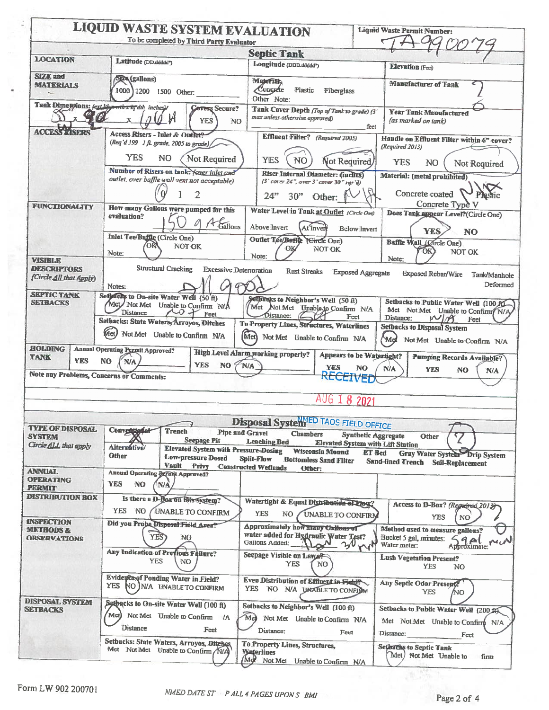|                                               | <b>LIQUID WASTE SYSTEM EVALUATION</b>                                                                                                      | To be completed by Third Party Evaluator                                         |                                                                                                        | Liquid Waste Permit Number:                                                                                              |
|-----------------------------------------------|--------------------------------------------------------------------------------------------------------------------------------------------|----------------------------------------------------------------------------------|--------------------------------------------------------------------------------------------------------|--------------------------------------------------------------------------------------------------------------------------|
|                                               |                                                                                                                                            |                                                                                  | <b>Septic Tank</b>                                                                                     |                                                                                                                          |
| <b>LOCATION</b>                               | Latitude (DD.ddddd")                                                                                                                       |                                                                                  | Longitude (DDD.ddddr)                                                                                  |                                                                                                                          |
|                                               |                                                                                                                                            |                                                                                  | Elevation (Feet)                                                                                       |                                                                                                                          |
| <b>SIZE</b> and<br><b>MATERIALS</b><br>A.     | <b>Siza</b> (gallons)<br>1000 1200 1500 Other:                                                                                             |                                                                                  | Materials<br>Congrete<br>Plastic<br>Fiberglass<br>Other Note:                                          | <b>Manufacturer of Tank</b>                                                                                              |
|                                               | Tank Dimensions: fext lib worth x 1q dth inchesy                                                                                           | <b>Covers Secure?</b>                                                            | Tank Cover Depth (Top of Tank to grade) (3"                                                            |                                                                                                                          |
| $\mathbf{x}$                                  | $0 \,$ $\mu$<br>$\mathbf x$                                                                                                                | <b>YES</b><br>NO <sub>1</sub>                                                    | max unless otherwise approved)                                                                         | <b>Year Tank Manufactured</b><br>(as marked on tank)<br>feet                                                             |
| <b>ACCESS LISERS</b>                          | Access Risers - Inlet & Outlet?<br>(Req'd 199 1 ft. grade, 2005 to grade)                                                                  |                                                                                  | <b>Effluent Filter?</b> (Required 2005)                                                                | Handle on Effluent Filter within 6" cover?<br>(Required 2013)                                                            |
|                                               | YES<br>NO.<br>Number of Risers on tank: Yover inlet and                                                                                    | Not Required                                                                     | <b>YES</b><br>N <sub>O</sub><br>Not Required                                                           | <b>YES</b><br>NO.<br>Not Required                                                                                        |
|                                               | outlet, over baffle wall vent not acceptable)                                                                                              |                                                                                  | <b>Riser Internal Diameter: (inclies)</b><br>$(3'$ cover 24", over 3" cover 30" rgr'd)                 | Material: (metal prohibited)                                                                                             |
| FUNCTIONALITY                                 | How many Gallons were pumped for this                                                                                                      | 2                                                                                | $24^{22}$<br>30"<br>Other:<br>Water Level in Tank at Outlet (Circle One)                               | Concrete coated<br>Concrete Type V                                                                                       |
|                                               | evaluation?                                                                                                                                | Gallons                                                                          | Above Invert<br>At`Invert                                                                              | Does Tank appear Level?(Circle One)<br>Below Invert<br><b>YES</b><br><b>NO</b>                                           |
|                                               | <b>Inlet Tee/Baffle (Circle One)</b>                                                                                                       |                                                                                  | Outlet Tee/Baffic (Gircle One)                                                                         | Baffle Wall (Circle One)                                                                                                 |
| <b>VISIBLE</b>                                | Note:                                                                                                                                      | NOT OK                                                                           | NOT OK<br>OK<br>Note:                                                                                  | OK)<br><b>NOT OK</b><br>Note:                                                                                            |
| <b>DESCRIPTORS</b>                            | <b>Structural Cracking</b>                                                                                                                 | <b>Excessive Deterioration</b>                                                   | <b>Rust Streaks</b>                                                                                    | <b>Exposed Aggregate</b><br><b>Exposed Rebar/Wire</b><br>Tank/Manhole                                                    |
| (Circle All that Apply)<br><b>SEPTIC TANK</b> | Notes:                                                                                                                                     |                                                                                  | $q\gamma$                                                                                              | Deformed                                                                                                                 |
| <b>SETBACKS</b>                               | Sethechs to On-site Water Well (50 ft)<br>Met Not Met Unable to Confirm N/A<br><b>Distance</b><br>Setbacks: State Waters, Arroyos, Ditches | $20 +$<br>Feet                                                                   | Setpinaks to Neighbor's Well (50 ft)<br>Met Not Met Unable to Confirm N/A<br>Distance:                 | Setbacks to Public Water Well (100.90<br>Met Not Met Unable to Confirm N/A<br>Feet<br>Distance:<br>$\mathcal{U}$<br>Feet |
|                                               | Met)<br>Not Met Unable to Confirm N/A                                                                                                      |                                                                                  | To Property Lines, Structures, Waterlines<br>Met Not Met Unable to Confirm N/A                         | <b>Setbacks to Disposal System</b><br>(Md<br>Not Met Unable to Confirm N/A                                               |
| <b>HOLDING</b><br><b>TANK</b><br><b>YES</b>   | <b>Annual Operating Permit Approved?</b><br>N <sub>O</sub><br><b>N/A</b>                                                                   | <b>YES</b><br>NO 5                                                               | <b>High Level Alarm working properly?</b><br><b>N/A</b><br><b>YES</b>                                  | <b>Appears to be Waterlight?</b><br>Pumping Records Available?                                                           |
| Note any Problems, Concerns or Comments:      |                                                                                                                                            |                                                                                  |                                                                                                        | NO<br>N/A<br><b>YES</b><br>NO.<br>N/A<br><b>FIVED</b>                                                                    |
|                                               |                                                                                                                                            |                                                                                  | AUG                                                                                                    | 2021                                                                                                                     |
|                                               |                                                                                                                                            |                                                                                  |                                                                                                        |                                                                                                                          |
| <b>TYPE OF DISPOSAL</b>                       |                                                                                                                                            |                                                                                  | <b>Disposal System</b> <sup>IED</sup> TAOS FIELD OFFICE                                                |                                                                                                                          |
| <b>SYSTEM</b><br>Circle ALL that apply        | Conventional<br>Altermitive/                                                                                                               | <b>Trench</b><br><b>Seepage Pit</b>                                              | <b>Pipe and Gravel</b><br><b>Chambers</b><br><b>Leaching Bed</b>                                       | <b>Synthetic Aggregate</b><br>Other<br><b>Elevated System with Lift Station</b>                                          |
|                                               | Other                                                                                                                                      | <b>Elevated System with Pressure-Dosing</b><br>Low-pressure Dosed<br>Vault Privy | <b>Wisconsin Mound</b><br>Split-Flow<br><b>Bottomiess Sand Filter</b><br><b>Constructed Wetlands</b>   | <b>ET Bed</b><br>Gray Water System Drip System<br>Sand-lined Trench Soil-Replacement                                     |
| <b>ANNUAL</b>                                 | Annual Operating Dermit Approved?                                                                                                          |                                                                                  | Other:                                                                                                 |                                                                                                                          |
| <b>OPERATING</b><br><b>PERMIT</b>             | <b>YES</b><br><b>NO</b><br>™A                                                                                                              |                                                                                  |                                                                                                        |                                                                                                                          |
| <b>DISTRIBUTION BOX</b>                       | Is there a D-Box on this system?                                                                                                           |                                                                                  |                                                                                                        |                                                                                                                          |
|                                               | <b>YES</b><br>NO.                                                                                                                          | UNABLE TO CONFIRM                                                                | Watertight & Equal Distribution of Flow?                                                               | Access to D-Box? (Required 2013)                                                                                         |
| <b>INSPECTION</b>                             | Did you Probe Disposal Field Area?                                                                                                         |                                                                                  | <b>YES</b><br>NO.<br>UNABLE TO CONFIRM                                                                 | <b>YES</b><br>NO                                                                                                         |
| <b>METHODS &amp;</b><br><b>ORSERVATIONS</b>   | YES <sup></sup>                                                                                                                            | NO.                                                                              | Approximately how many Gallens of<br>water added for Hydraulic Water Test?<br>Gallons Added:<br>$2\nu$ | Method used to measure gallons?<br>Bucket 5 gal, minutes:<br>9A<br>Approximate: Me UN<br>Water meter:                    |
|                                               | Any Indication of Previous Failure?<br><b>YES</b>                                                                                          | NO.                                                                              | Seepage Visible on Lawar<br><b>YES</b><br>NO.                                                          | <b>CYH</b><br><b>Lush Vegetation Present?</b><br><b>YES</b><br>N <sub>O</sub>                                            |
|                                               | <b>Evidence of Ponding Water in Field?</b><br><b>YES</b>                                                                                   | NO N/A UNABLE TO CONFIRM                                                         | Even Distribution of Effluent in Field?<br>YES NO N/A UNABLE TO CONFIDEN                               | Any Septic Odar Present.<br><b>YES</b><br>NO.                                                                            |
| <b>DISPOSAL SYSTEM</b><br><b>SETBACKS</b>     | Setbacks to On-site Water Well (100 ft)<br>Met) Not Met Unable to Confirm /A                                                               |                                                                                  | Setbacks to Neighbor's Well (100 ft)<br>Me                                                             | Setbacks to Public Water Well (200 ft)                                                                                   |
|                                               | <b>Distance</b>                                                                                                                            | Feet                                                                             | Not Met Unable to Confirm N/A<br>Distance:<br>Feet                                                     | Met Not Met Unable to Confirm N/A<br>Distance:<br>Feet                                                                   |
|                                               | Setbacks: State Waters, Arroyos, Ditches<br>Mct Not Mct Unable to Confirm                                                                  |                                                                                  | To Property Lines, Structures,<br><b>Waterlines</b><br>Mc<br>Not Met Unable to Confirm N/A             | Setbucks to Septic Tank<br>Met) Not Met Unable to<br>firm                                                                |

M.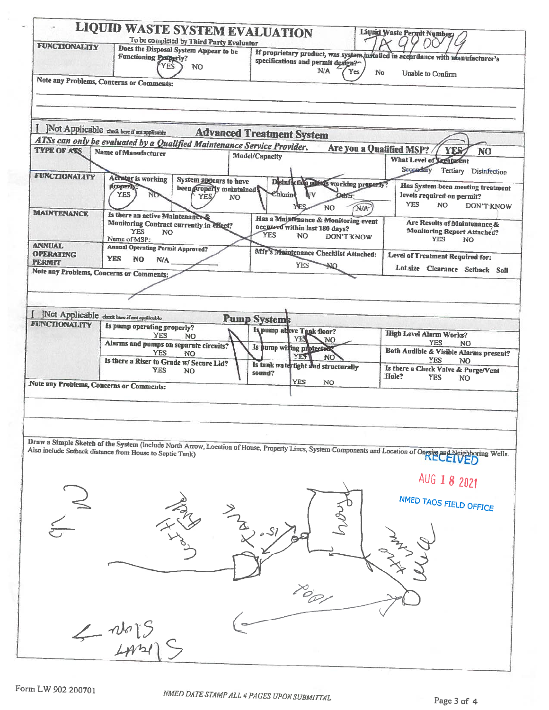| <b>LIQUID WASTE SYSTEM EVALUATION</b><br>To be completed by Third Party Evaluator<br><b>FUNCTIONALITY</b><br>Does the Disposal System Appear to be<br><b>Functioning Peoperly?</b> |                                                                                                        |                                  | If proprietary product, was system installed in accordance with manufacturer's<br>specifications and permit design? |                    |                                                 |                          | Liquid Waste Permit Numbers                                                                                                                                                                                             |                |  |
|------------------------------------------------------------------------------------------------------------------------------------------------------------------------------------|--------------------------------------------------------------------------------------------------------|----------------------------------|---------------------------------------------------------------------------------------------------------------------|--------------------|-------------------------------------------------|--------------------------|-------------------------------------------------------------------------------------------------------------------------------------------------------------------------------------------------------------------------|----------------|--|
|                                                                                                                                                                                    | <b>YES</b><br><b>NO</b>                                                                                |                                  |                                                                                                                     | N/A                | Yes<br>No                                       |                          |                                                                                                                                                                                                                         |                |  |
|                                                                                                                                                                                    | Note any Problems, Concerns or Comments:                                                               |                                  |                                                                                                                     |                    |                                                 |                          | Unable to Confirm                                                                                                                                                                                                       |                |  |
|                                                                                                                                                                                    |                                                                                                        |                                  |                                                                                                                     |                    |                                                 |                          |                                                                                                                                                                                                                         |                |  |
|                                                                                                                                                                                    |                                                                                                        |                                  |                                                                                                                     |                    |                                                 |                          |                                                                                                                                                                                                                         |                |  |
|                                                                                                                                                                                    | JNot Applicable check here if not applicable                                                           |                                  |                                                                                                                     |                    | <b>Advanced Treatment System</b>                |                          |                                                                                                                                                                                                                         |                |  |
| <b>TYPE OF ASS</b>                                                                                                                                                                 | ATSs can only be evaluated by a Qualified Maintenance Service Provider.<br><b>Name of Manufacturer</b> |                                  |                                                                                                                     |                    |                                                 |                          | Are you a Qualified MSP?<br><b>YES</b>                                                                                                                                                                                  | N <sub>O</sub> |  |
|                                                                                                                                                                                    |                                                                                                        | <b>Model/Capacity</b>            |                                                                                                                     |                    |                                                 | What Level of Levatorent |                                                                                                                                                                                                                         |                |  |
|                                                                                                                                                                                    |                                                                                                        |                                  |                                                                                                                     |                    |                                                 |                          | Secondary Tertiary Disinfection                                                                                                                                                                                         |                |  |
| <b>FUNCTIONALITY</b>                                                                                                                                                               | Aerator is working<br><b>AUPPER</b>                                                                    | System appears to have           |                                                                                                                     |                    | Disinfection makes working properly?            |                          | Has System been meeting treatment                                                                                                                                                                                       |                |  |
|                                                                                                                                                                                    | <b>YES</b><br>NO-                                                                                      | been properly maintained<br>YES/ | <b>NO</b>                                                                                                           | Chlorine           | ŀν<br>Other.                                    |                          | levels required on permit?                                                                                                                                                                                              |                |  |
|                                                                                                                                                                                    |                                                                                                        |                                  |                                                                                                                     |                    | NO.                                             | NIA                      | <b>YES</b><br>NO.                                                                                                                                                                                                       | DON'T KNOW     |  |
| <b>MAINTENANCE</b>                                                                                                                                                                 | Is there an active Maintenance                                                                         |                                  |                                                                                                                     |                    | <b>Has a Maintenance &amp; Monitoring event</b> |                          | Are Results of Maintenance &                                                                                                                                                                                            |                |  |
|                                                                                                                                                                                    | Monitoring Contract currently in effect?<br><b>YES</b><br>NO.                                          |                                  |                                                                                                                     |                    | occurred within last 180 days?                  |                          | <b>Monitoring Report Attached?</b>                                                                                                                                                                                      |                |  |
| <b>ANNUAL</b>                                                                                                                                                                      | Name of MSP:                                                                                           |                                  |                                                                                                                     | <b>YES</b>         | NO.                                             | <b>DON'T KNOW</b>        | <b>YES</b>                                                                                                                                                                                                              | N <sub>O</sub> |  |
| <b>OPERATING</b>                                                                                                                                                                   | <b>Annual Operating Permit Approved?</b>                                                               |                                  |                                                                                                                     |                    | Mfr's Maintenance Checklist Attached:           |                          | Level of Treatment Required for:                                                                                                                                                                                        |                |  |
| <b>PERMIT</b>                                                                                                                                                                      | <b>YES</b><br>N <sub>O</sub><br><b>N/A</b>                                                             |                                  |                                                                                                                     |                    | <b>YES</b><br>∩וב                               |                          | Lot size Clearance Setback Soil                                                                                                                                                                                         |                |  |
|                                                                                                                                                                                    | Note any Problems, Concerns or Comments:                                                               |                                  |                                                                                                                     |                    |                                                 |                          |                                                                                                                                                                                                                         |                |  |
|                                                                                                                                                                                    |                                                                                                        |                                  |                                                                                                                     |                    |                                                 |                          |                                                                                                                                                                                                                         |                |  |
|                                                                                                                                                                                    |                                                                                                        |                                  |                                                                                                                     |                    |                                                 |                          |                                                                                                                                                                                                                         |                |  |
|                                                                                                                                                                                    | [ ]Not Applicable check here if not applicable                                                         |                                  |                                                                                                                     | <b>Pump System</b> |                                                 |                          |                                                                                                                                                                                                                         |                |  |
| FUNCTIONALITY                                                                                                                                                                      | Is pump operating properly?                                                                            |                                  |                                                                                                                     |                    | Is pump at ove Tank floor?                      |                          |                                                                                                                                                                                                                         |                |  |
|                                                                                                                                                                                    | <b>YES</b>                                                                                             |                                  |                                                                                                                     |                    |                                                 |                          |                                                                                                                                                                                                                         |                |  |
|                                                                                                                                                                                    |                                                                                                        | NO.                              |                                                                                                                     |                    | YE.<br>NO.                                      |                          | <b>High Level Alarm Works?</b>                                                                                                                                                                                          |                |  |
|                                                                                                                                                                                    | Alarms and pumps on separate circuits?<br><b>YES</b>                                                   | N <sub>O</sub>                   |                                                                                                                     |                    | Is hump witing protected                        |                          | <b>YES</b><br><b>NO</b><br>Both Audible & Visible Alarms present?                                                                                                                                                       |                |  |
|                                                                                                                                                                                    | Is there a Riser to Grade w/ Secure Lid?                                                               |                                  |                                                                                                                     |                    | YES<br>NO <sup>1</sup>                          |                          | <b>YES</b><br>NO.                                                                                                                                                                                                       |                |  |
|                                                                                                                                                                                    | <b>YES</b>                                                                                             | N <sub>O</sub>                   |                                                                                                                     | sound?             | Is tank watertight and structurally             |                          | Is there a Check Valve & Purge/Vent<br>Hole?<br><b>YES</b><br><b>NO</b>                                                                                                                                                 |                |  |
|                                                                                                                                                                                    | Note any Problems, Concerns or Comments:                                                               |                                  |                                                                                                                     |                    | <b>YES</b><br><b>NO</b>                         |                          |                                                                                                                                                                                                                         |                |  |
|                                                                                                                                                                                    |                                                                                                        |                                  |                                                                                                                     |                    |                                                 |                          |                                                                                                                                                                                                                         |                |  |
|                                                                                                                                                                                    |                                                                                                        |                                  |                                                                                                                     |                    |                                                 |                          |                                                                                                                                                                                                                         |                |  |
|                                                                                                                                                                                    |                                                                                                        |                                  |                                                                                                                     |                    |                                                 |                          |                                                                                                                                                                                                                         |                |  |
|                                                                                                                                                                                    |                                                                                                        |                                  |                                                                                                                     |                    |                                                 |                          |                                                                                                                                                                                                                         |                |  |
|                                                                                                                                                                                    |                                                                                                        |                                  |                                                                                                                     |                    |                                                 |                          |                                                                                                                                                                                                                         |                |  |
|                                                                                                                                                                                    |                                                                                                        |                                  |                                                                                                                     |                    |                                                 |                          | Draw a Simple Sketch of the System (Include North Arrow, Location of House, Property Lines, System Components and Location of Ongite and Neighboring Wells.<br>Also include Setback distance from House to Septic Tank) |                |  |
|                                                                                                                                                                                    |                                                                                                        |                                  |                                                                                                                     |                    |                                                 |                          | AUG 1 8 2021                                                                                                                                                                                                            |                |  |
|                                                                                                                                                                                    |                                                                                                        |                                  |                                                                                                                     |                    |                                                 |                          |                                                                                                                                                                                                                         |                |  |
|                                                                                                                                                                                    |                                                                                                        |                                  |                                                                                                                     |                    |                                                 |                          | NMED TAOS FIELD OFFICE                                                                                                                                                                                                  |                |  |
|                                                                                                                                                                                    |                                                                                                        |                                  |                                                                                                                     |                    |                                                 |                          |                                                                                                                                                                                                                         |                |  |
|                                                                                                                                                                                    |                                                                                                        |                                  |                                                                                                                     |                    |                                                 |                          |                                                                                                                                                                                                                         |                |  |
|                                                                                                                                                                                    |                                                                                                        |                                  |                                                                                                                     |                    |                                                 |                          |                                                                                                                                                                                                                         |                |  |
|                                                                                                                                                                                    |                                                                                                        |                                  |                                                                                                                     |                    |                                                 |                          |                                                                                                                                                                                                                         |                |  |
|                                                                                                                                                                                    |                                                                                                        |                                  |                                                                                                                     |                    |                                                 |                          |                                                                                                                                                                                                                         |                |  |
|                                                                                                                                                                                    |                                                                                                        |                                  |                                                                                                                     |                    |                                                 |                          |                                                                                                                                                                                                                         |                |  |
|                                                                                                                                                                                    |                                                                                                        |                                  |                                                                                                                     |                    |                                                 |                          |                                                                                                                                                                                                                         |                |  |
|                                                                                                                                                                                    |                                                                                                        |                                  |                                                                                                                     |                    |                                                 |                          |                                                                                                                                                                                                                         |                |  |
|                                                                                                                                                                                    |                                                                                                        |                                  |                                                                                                                     |                    |                                                 |                          |                                                                                                                                                                                                                         |                |  |
|                                                                                                                                                                                    | $\leftarrow$ $\frac{1}{2}$                                                                             |                                  |                                                                                                                     |                    |                                                 |                          |                                                                                                                                                                                                                         |                |  |